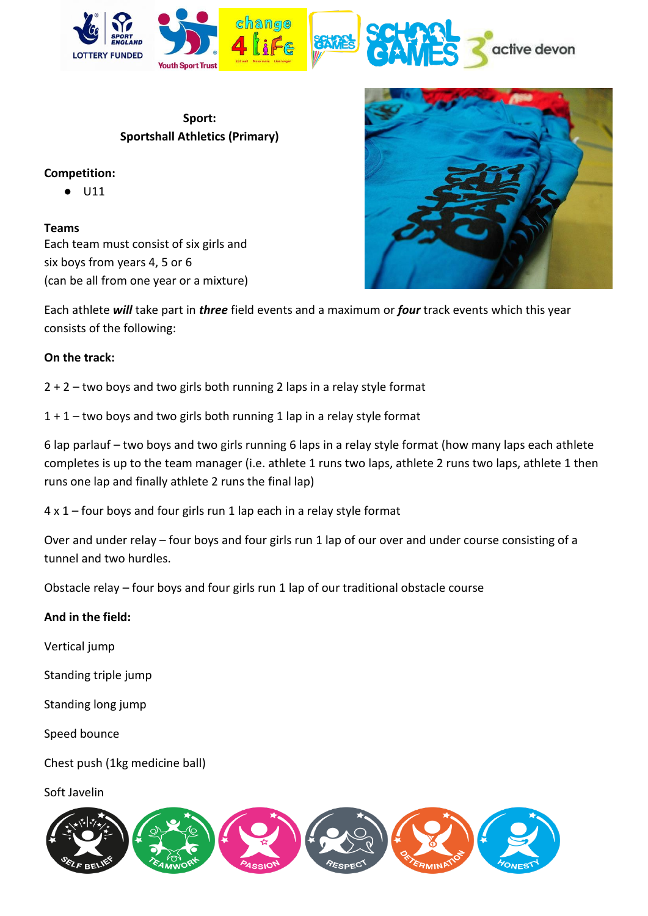

## **Sport: Sportshall Athletics (Primary)**

## **Competition:**

● U11

**Teams** Each team must consist of six girls and six boys from years 4, 5 or 6 (can be all from one year or a mixture)



Each athlete *will* take part in *three* field events and a maximum or *four* track events which this year consists of the following:

## **On the track:**

2 + 2 – two boys and two girls both running 2 laps in a relay style format

1 + 1 – two boys and two girls both running 1 lap in a relay style format

6 lap parlauf – two boys and two girls running 6 laps in a relay style format (how many laps each athlete completes is up to the team manager (i.e. athlete 1 runs two laps, athlete 2 runs two laps, athlete 1 then runs one lap and finally athlete 2 runs the final lap)

4 x 1 – four boys and four girls run 1 lap each in a relay style format

Over and under relay – four boys and four girls run 1 lap of our over and under course consisting of a tunnel and two hurdles.

Obstacle relay – four boys and four girls run 1 lap of our traditional obstacle course

### **And in the field:**

Vertical jump

Standing triple jump

Standing long jump

Speed bounce

## Chest push (1kg medicine ball)

Soft Javelin

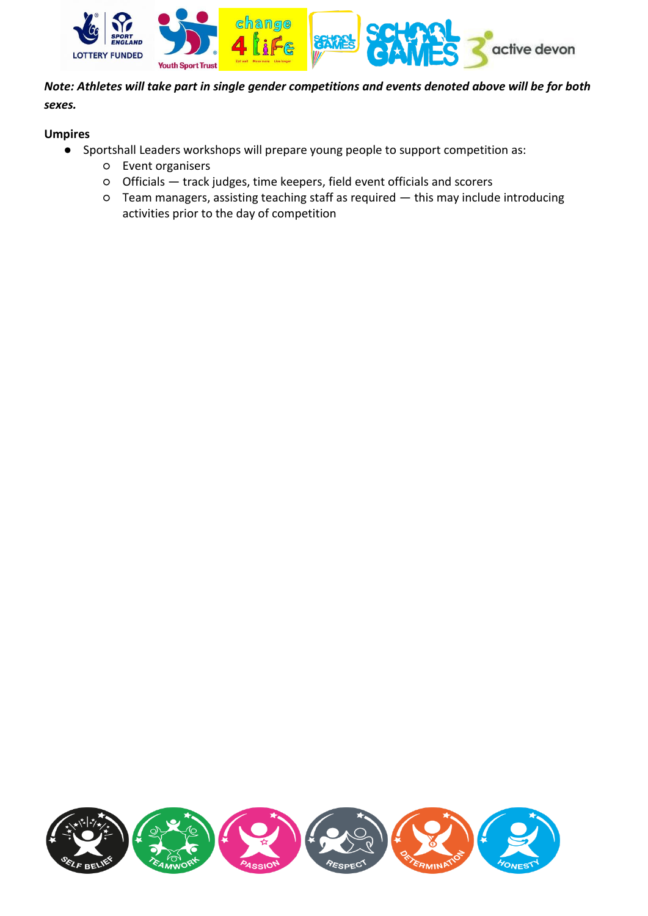

# *Note: Athletes will take part in single gender competitions and events denoted above will be for both sexes.*

### **Umpires**

- Sportshall Leaders workshops will prepare young people to support competition as:
	- Event organisers
	- Officials track judges, time keepers, field event officials and scorers
	- Team managers, assisting teaching staff as required this may include introducing activities prior to the day of competition